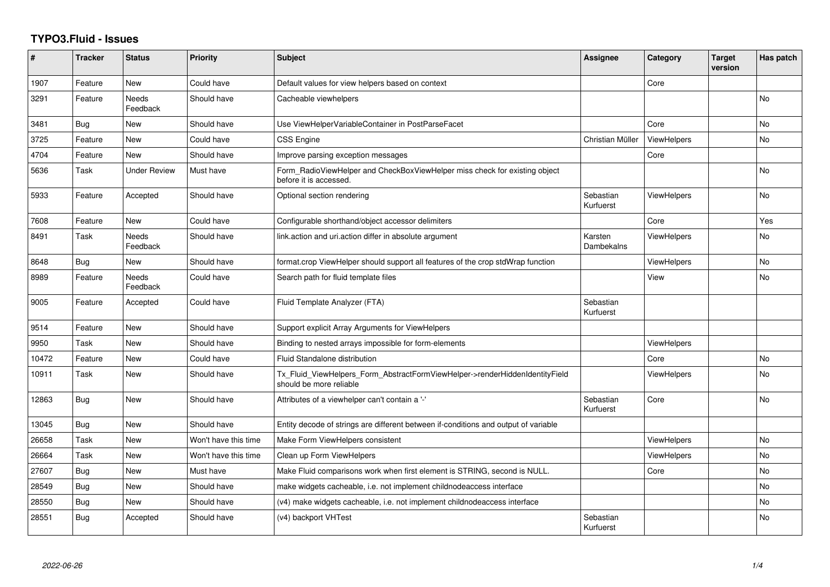## **TYPO3.Fluid - Issues**

| #     | <b>Tracker</b> | <b>Status</b>            | <b>Priority</b>      | <b>Subject</b>                                                                                         | <b>Assignee</b>        | Category           | <b>Target</b><br>version | Has patch |
|-------|----------------|--------------------------|----------------------|--------------------------------------------------------------------------------------------------------|------------------------|--------------------|--------------------------|-----------|
| 1907  | Feature        | <b>New</b>               | Could have           | Default values for view helpers based on context                                                       |                        | Core               |                          |           |
| 3291  | Feature        | Needs<br>Feedback        | Should have          | Cacheable viewhelpers                                                                                  |                        |                    |                          | <b>No</b> |
| 3481  | Bug            | New                      | Should have          | Use ViewHelperVariableContainer in PostParseFacet                                                      |                        | Core               |                          | <b>No</b> |
| 3725  | Feature        | New                      | Could have           | CSS Engine                                                                                             | Christian Müller       | ViewHelpers        |                          | No        |
| 4704  | Feature        | New                      | Should have          | Improve parsing exception messages                                                                     |                        | Core               |                          |           |
| 5636  | Task           | Under Review             | Must have            | Form_RadioViewHelper and CheckBoxViewHelper miss check for existing object<br>before it is accessed.   |                        |                    |                          | <b>No</b> |
| 5933  | Feature        | Accepted                 | Should have          | Optional section rendering                                                                             | Sebastian<br>Kurfuerst | ViewHelpers        |                          | <b>No</b> |
| 7608  | Feature        | <b>New</b>               | Could have           | Configurable shorthand/object accessor delimiters                                                      |                        | Core               |                          | Yes       |
| 8491  | Task           | <b>Needs</b><br>Feedback | Should have          | link.action and uri.action differ in absolute argument                                                 | Karsten<br>Dambekalns  | ViewHelpers        |                          | No        |
| 8648  | Bug            | <b>New</b>               | Should have          | format.crop ViewHelper should support all features of the crop stdWrap function                        |                        | <b>ViewHelpers</b> |                          | No        |
| 8989  | Feature        | Needs<br>Feedback        | Could have           | Search path for fluid template files                                                                   |                        | View               |                          | <b>No</b> |
| 9005  | Feature        | Accepted                 | Could have           | Fluid Template Analyzer (FTA)                                                                          | Sebastian<br>Kurfuerst |                    |                          |           |
| 9514  | Feature        | <b>New</b>               | Should have          | Support explicit Array Arguments for ViewHelpers                                                       |                        |                    |                          |           |
| 9950  | Task           | <b>New</b>               | Should have          | Binding to nested arrays impossible for form-elements                                                  |                        | <b>ViewHelpers</b> |                          |           |
| 10472 | Feature        | New                      | Could have           | Fluid Standalone distribution                                                                          |                        | Core               |                          | No        |
| 10911 | Task           | New                      | Should have          | Tx_Fluid_ViewHelpers_Form_AbstractFormViewHelper->renderHiddenIdentityField<br>should be more reliable |                        | ViewHelpers        |                          | No        |
| 12863 | Bug            | New                      | Should have          | Attributes of a viewhelper can't contain a '-'                                                         | Sebastian<br>Kurfuerst | Core               |                          | <b>No</b> |
| 13045 | Bug            | <b>New</b>               | Should have          | Entity decode of strings are different between if-conditions and output of variable                    |                        |                    |                          |           |
| 26658 | Task           | New                      | Won't have this time | Make Form ViewHelpers consistent                                                                       |                        | ViewHelpers        |                          | <b>No</b> |
| 26664 | Task           | <b>New</b>               | Won't have this time | Clean up Form ViewHelpers                                                                              |                        | ViewHelpers        |                          | <b>No</b> |
| 27607 | Bug            | New                      | Must have            | Make Fluid comparisons work when first element is STRING, second is NULL.                              |                        | Core               |                          | <b>No</b> |
| 28549 | <b>Bug</b>     | New                      | Should have          | make widgets cacheable, i.e. not implement childnodeaccess interface                                   |                        |                    |                          | <b>No</b> |
| 28550 | Bug            | New                      | Should have          | (v4) make widgets cacheable, i.e. not implement childnodeaccess interface                              |                        |                    |                          | No        |
| 28551 | <b>Bug</b>     | Accepted                 | Should have          | (v4) backport VHTest                                                                                   | Sebastian<br>Kurfuerst |                    |                          | No        |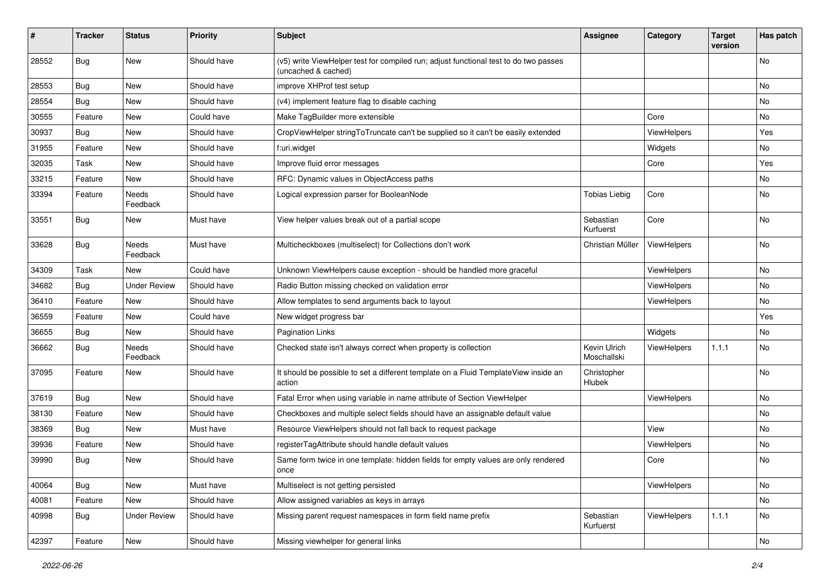| ∦     | <b>Tracker</b> | <b>Status</b>            | <b>Priority</b> | <b>Subject</b>                                                                                              | <b>Assignee</b>             | Category           | <b>Target</b><br>version | Has patch |
|-------|----------------|--------------------------|-----------------|-------------------------------------------------------------------------------------------------------------|-----------------------------|--------------------|--------------------------|-----------|
| 28552 | Bug            | New                      | Should have     | (v5) write ViewHelper test for compiled run; adjust functional test to do two passes<br>(uncached & cached) |                             |                    |                          | No        |
| 28553 | <b>Bug</b>     | New                      | Should have     | improve XHProf test setup                                                                                   |                             |                    |                          | No        |
| 28554 | Bug            | New                      | Should have     | (v4) implement feature flag to disable caching                                                              |                             |                    |                          | No        |
| 30555 | Feature        | New                      | Could have      | Make TagBuilder more extensible                                                                             |                             | Core               |                          | No        |
| 30937 | Bug            | <b>New</b>               | Should have     | CropViewHelper stringToTruncate can't be supplied so it can't be easily extended                            |                             | ViewHelpers        |                          | Yes       |
| 31955 | Feature        | New                      | Should have     | f:uri.widget                                                                                                |                             | Widgets            |                          | No        |
| 32035 | Task           | New                      | Should have     | Improve fluid error messages                                                                                |                             | Core               |                          | Yes       |
| 33215 | Feature        | New                      | Should have     | RFC: Dynamic values in ObjectAccess paths                                                                   |                             |                    |                          | No        |
| 33394 | Feature        | Needs<br>Feedback        | Should have     | Logical expression parser for BooleanNode                                                                   | <b>Tobias Liebig</b>        | Core               |                          | No        |
| 33551 | Bug            | New                      | Must have       | View helper values break out of a partial scope                                                             | Sebastian<br>Kurfuerst      | Core               |                          | No        |
| 33628 | Bug            | <b>Needs</b><br>Feedback | Must have       | Multicheckboxes (multiselect) for Collections don't work                                                    | Christian Müller            | ViewHelpers        |                          | No.       |
| 34309 | Task           | New                      | Could have      | Unknown ViewHelpers cause exception - should be handled more graceful                                       |                             | ViewHelpers        |                          | No.       |
| 34682 | Bug            | <b>Under Review</b>      | Should have     | Radio Button missing checked on validation error                                                            |                             | ViewHelpers        |                          | No        |
| 36410 | Feature        | New                      | Should have     | Allow templates to send arguments back to layout                                                            |                             | <b>ViewHelpers</b> |                          | No        |
| 36559 | Feature        | New                      | Could have      | New widget progress bar                                                                                     |                             |                    |                          | Yes       |
| 36655 | Bug            | <b>New</b>               | Should have     | <b>Pagination Links</b>                                                                                     |                             | Widgets            |                          | No.       |
| 36662 | <b>Bug</b>     | Needs<br>Feedback        | Should have     | Checked state isn't always correct when property is collection                                              | Kevin Ulrich<br>Moschallski | ViewHelpers        | 1.1.1                    | No        |
| 37095 | Feature        | New                      | Should have     | It should be possible to set a different template on a Fluid TemplateView inside an<br>action               | Christopher<br>Hlubek       |                    |                          | No        |
| 37619 | Bug            | New                      | Should have     | Fatal Error when using variable in name attribute of Section ViewHelper                                     |                             | ViewHelpers        |                          | No        |
| 38130 | Feature        | New                      | Should have     | Checkboxes and multiple select fields should have an assignable default value                               |                             |                    |                          | No        |
| 38369 | Bug            | New                      | Must have       | Resource ViewHelpers should not fall back to request package                                                |                             | View               |                          | No        |
| 39936 | Feature        | New                      | Should have     | registerTagAttribute should handle default values                                                           |                             | ViewHelpers        |                          | No        |
| 39990 | Bug            | New                      | Should have     | Same form twice in one template: hidden fields for empty values are only rendered<br>once                   |                             | Core               |                          | No        |
| 40064 | Bug            | New                      | Must have       | Multiselect is not getting persisted                                                                        |                             | ViewHelpers        |                          | No        |
| 40081 | Feature        | New                      | Should have     | Allow assigned variables as keys in arrays                                                                  |                             |                    |                          | No        |
| 40998 | <b>Bug</b>     | <b>Under Review</b>      | Should have     | Missing parent request namespaces in form field name prefix                                                 | Sebastian<br>Kurfuerst      | ViewHelpers        | 1.1.1                    | No        |
| 42397 | Feature        | New                      | Should have     | Missing viewhelper for general links                                                                        |                             |                    |                          | No        |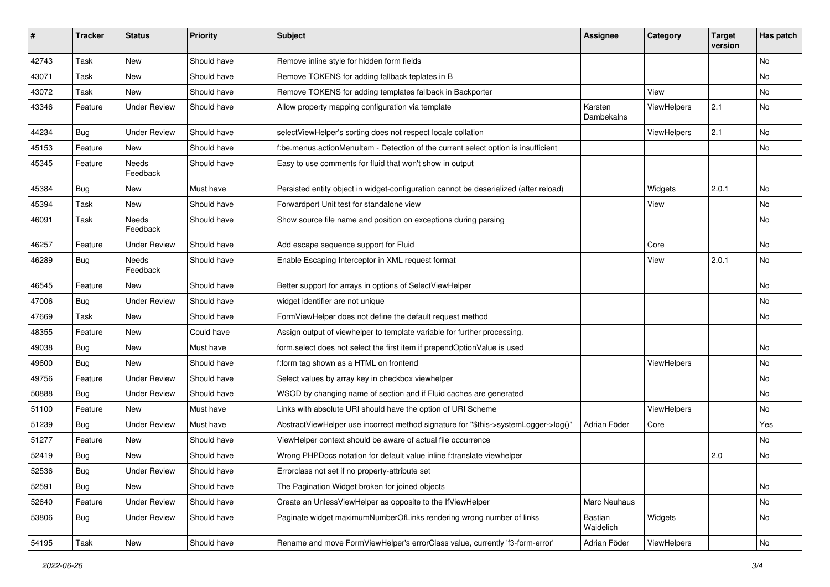| #     | <b>Tracker</b> | <b>Status</b>       | <b>Priority</b> | <b>Subject</b>                                                                        | <b>Assignee</b>       | Category    | <b>Target</b><br>version | Has patch |
|-------|----------------|---------------------|-----------------|---------------------------------------------------------------------------------------|-----------------------|-------------|--------------------------|-----------|
| 42743 | Task           | New                 | Should have     | Remove inline style for hidden form fields                                            |                       |             |                          | No        |
| 43071 | Task           | New                 | Should have     | Remove TOKENS for adding fallback teplates in B                                       |                       |             |                          | No        |
| 43072 | Task           | New                 | Should have     | Remove TOKENS for adding templates fallback in Backporter                             |                       | View        |                          | No        |
| 43346 | Feature        | <b>Under Review</b> | Should have     | Allow property mapping configuration via template                                     | Karsten<br>Dambekalns | ViewHelpers | 2.1                      | No        |
| 44234 | <b>Bug</b>     | <b>Under Review</b> | Should have     | selectViewHelper's sorting does not respect locale collation                          |                       | ViewHelpers | 2.1                      | No.       |
| 45153 | Feature        | New                 | Should have     | f:be.menus.actionMenuItem - Detection of the current select option is insufficient    |                       |             |                          | No        |
| 45345 | Feature        | Needs<br>Feedback   | Should have     | Easy to use comments for fluid that won't show in output                              |                       |             |                          |           |
| 45384 | Bug            | New                 | Must have       | Persisted entity object in widget-configuration cannot be deserialized (after reload) |                       | Widgets     | 2.0.1                    | No.       |
| 45394 | Task           | New                 | Should have     | Forwardport Unit test for standalone view                                             |                       | View        |                          | No        |
| 46091 | Task           | Needs<br>Feedback   | Should have     | Show source file name and position on exceptions during parsing                       |                       |             |                          | No        |
| 46257 | Feature        | <b>Under Review</b> | Should have     | Add escape sequence support for Fluid                                                 |                       | Core        |                          | No.       |
| 46289 | <b>Bug</b>     | Needs<br>Feedback   | Should have     | Enable Escaping Interceptor in XML request format                                     |                       | View        | 2.0.1                    | No        |
| 46545 | Feature        | New                 | Should have     | Better support for arrays in options of SelectViewHelper                              |                       |             |                          | No        |
| 47006 | <b>Bug</b>     | <b>Under Review</b> | Should have     | widget identifier are not unique                                                      |                       |             |                          | No        |
| 47669 | Task           | New                 | Should have     | FormViewHelper does not define the default request method                             |                       |             |                          | No        |
| 48355 | Feature        | New                 | Could have      | Assign output of viewhelper to template variable for further processing.              |                       |             |                          |           |
| 49038 | <b>Bug</b>     | New                 | Must have       | form select does not select the first item if prependOptionValue is used              |                       |             |                          | No        |
| 49600 | <b>Bug</b>     | <b>New</b>          | Should have     | f:form tag shown as a HTML on frontend                                                |                       | ViewHelpers |                          | No        |
| 49756 | Feature        | <b>Under Review</b> | Should have     | Select values by array key in checkbox viewhelper                                     |                       |             |                          | No        |
| 50888 | Bug            | Under Review        | Should have     | WSOD by changing name of section and if Fluid caches are generated                    |                       |             |                          | No        |
| 51100 | Feature        | <b>New</b>          | Must have       | Links with absolute URI should have the option of URI Scheme                          |                       | ViewHelpers |                          | No        |
| 51239 | <b>Bug</b>     | <b>Under Review</b> | Must have       | AbstractViewHelper use incorrect method signature for "\$this->systemLogger->log()"   | Adrian Föder          | Core        |                          | Yes       |
| 51277 | Feature        | New                 | Should have     | ViewHelper context should be aware of actual file occurrence                          |                       |             |                          | No        |
| 52419 | <b>Bug</b>     | New                 | Should have     | Wrong PHPDocs notation for default value inline f:translate viewhelper                |                       |             | 2.0                      | No        |
| 52536 | <b>Bug</b>     | <b>Under Review</b> | Should have     | Errorclass not set if no property-attribute set                                       |                       |             |                          |           |
| 52591 | <b>Bug</b>     | New                 | Should have     | The Pagination Widget broken for joined objects                                       |                       |             |                          | No        |
| 52640 | Feature        | <b>Under Review</b> | Should have     | Create an UnlessViewHelper as opposite to the IfViewHelper                            | Marc Neuhaus          |             |                          | No        |
| 53806 | Bug            | <b>Under Review</b> | Should have     | Paginate widget maximumNumberOfLinks rendering wrong number of links                  | Bastian<br>Waidelich  | Widgets     |                          | No        |
| 54195 | Task           | New                 | Should have     | Rename and move FormViewHelper's errorClass value, currently 'f3-form-error'          | Adrian Föder          | ViewHelpers |                          | No        |